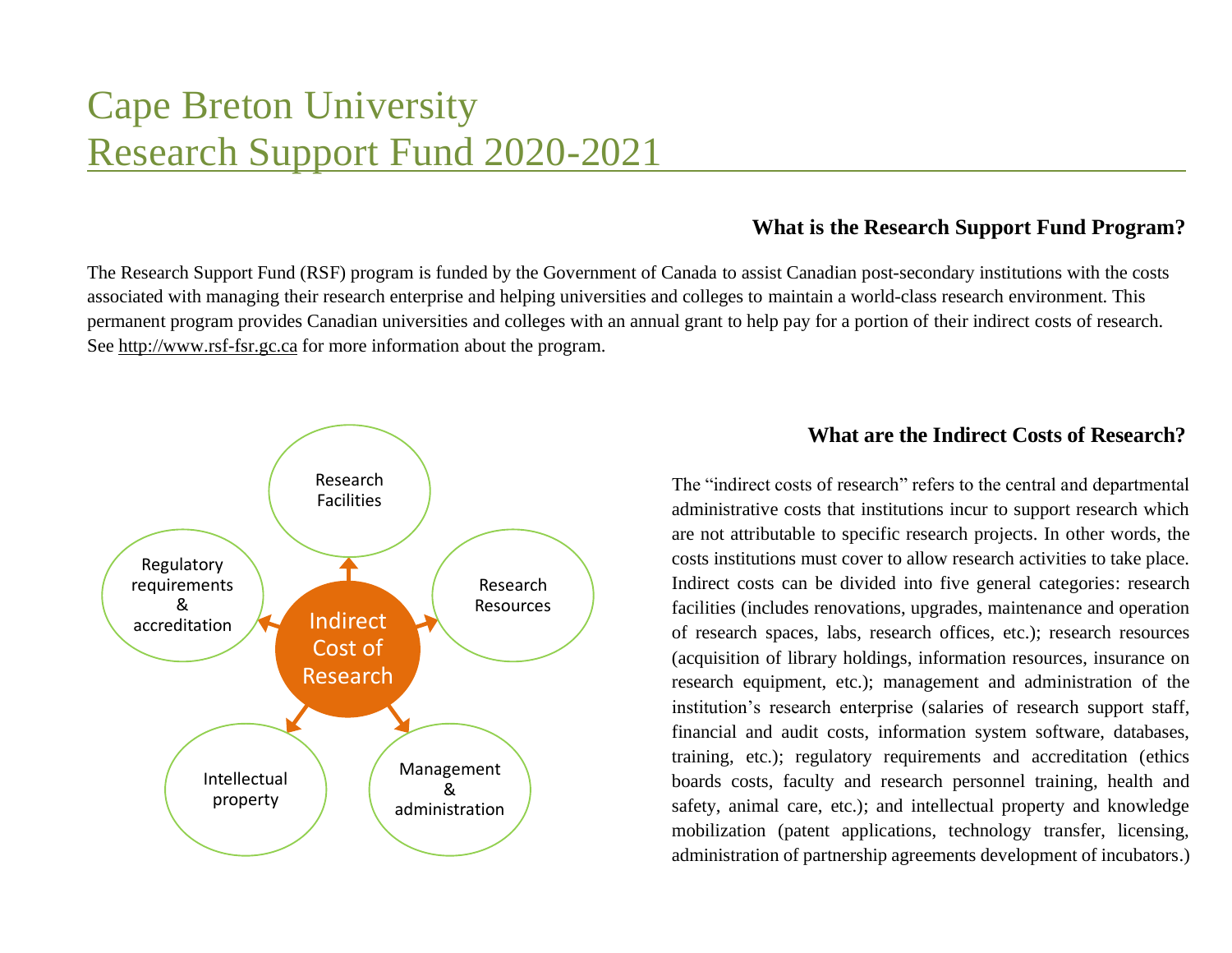# Cape Breton University Research Support Fund 2020-2021

### **What is the Research Support Fund Program?**

The Research Support Fund (RSF) program is funded by the Government of Canada to assist Canadian post-secondary institutions with the costs associated with managing their research enterprise and helping universities and colleges to maintain a world-class research environment. This permanent program provides Canadian universities and colleges with an annual grant to help pay for a portion of their indirect costs of research. See http://www.rsf-fsr.gc.ca for more information about the program.



## **What are the Indirect Costs of Research?**

The "indirect costs of research" refers to the central and departmental administrative costs that institutions incur to support research which are not attributable to specific research projects. In other words, the costs institutions must cover to allow research activities to take place. Indirect costs can be divided into five general categories: research facilities (includes renovations, upgrades, maintenance and operation of research spaces, labs, research offices, etc.); research resources (acquisition of library holdings, information resources, insurance on research equipment, etc.); management and administration of the institution's research enterprise (salaries of research support staff, financial and audit costs, information system software, databases, training, etc.); regulatory requirements and accreditation (ethics boards costs, faculty and research personnel training, health and safety, animal care, etc.); and intellectual property and knowledge mobilization (patent applications, technology transfer, licensing, administration of partnership agreements development of incubators.)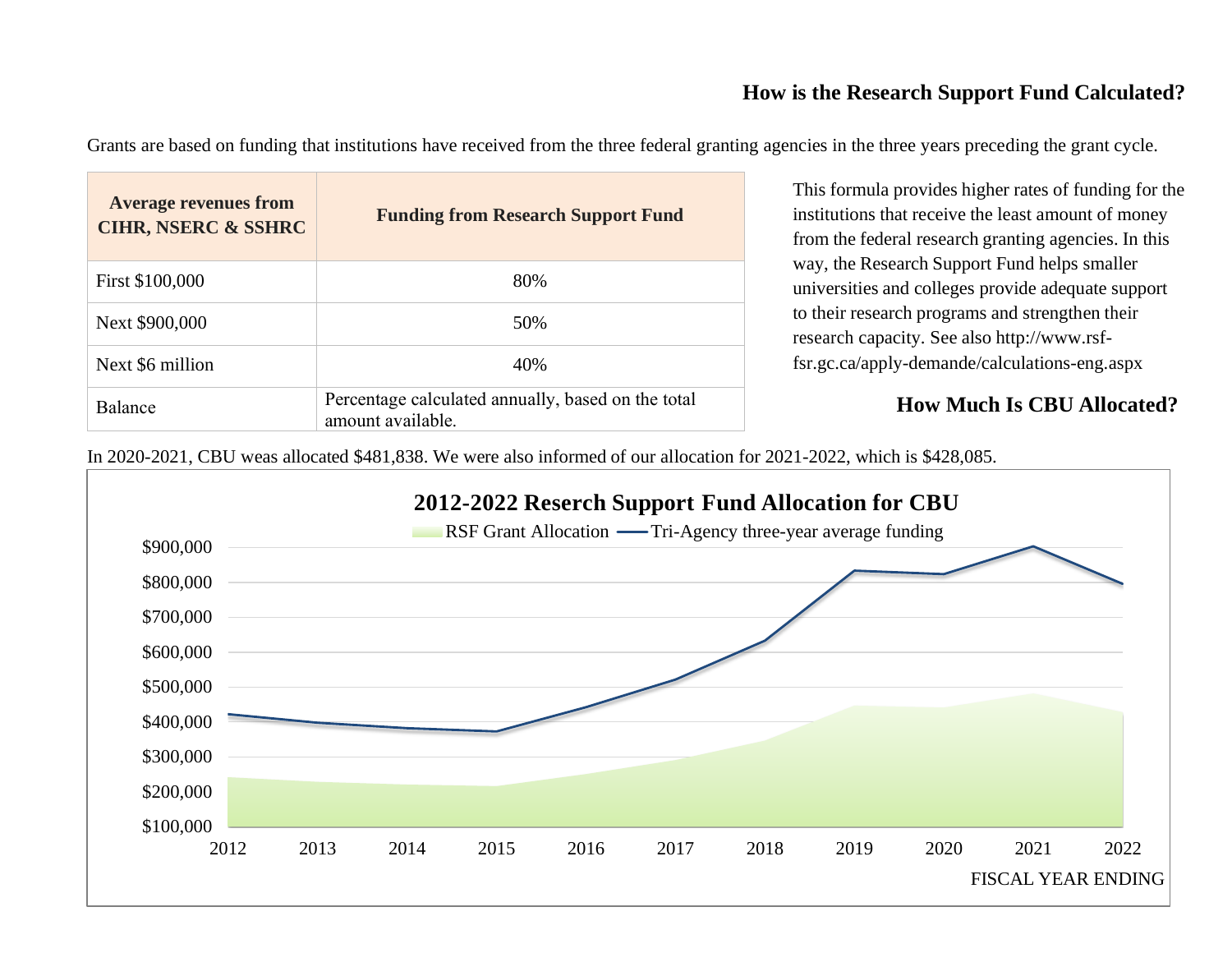## **How is the Research Support Fund Calculated?**

Grants are based on funding that institutions have received from the three federal granting agencies in the three years preceding the grant cycle.

| <b>Average revenues from</b><br><b>CIHR, NSERC &amp; SSHRC</b> | <b>Funding from Research Support Fund</b>                               |
|----------------------------------------------------------------|-------------------------------------------------------------------------|
| First \$100,000                                                | 80%                                                                     |
| Next \$900,000                                                 | 50%                                                                     |
| Next \$6 million                                               | 40%                                                                     |
| Balance                                                        | Percentage calculated annually, based on the total<br>amount available. |

This formula provides higher rates of funding for the institutions that receive the least amount of money from the federal research granting agencies. In this way, the Research Support Fund helps smaller universities and colleges provide adequate support to their research programs and strengthen their research capacity. See also http://www.rsffsr.gc.ca/apply-demande/calculations-eng.aspx

## **How Much Is CBU Allocated?**

In 2020-2021, CBU weas allocated \$481,838. We were also informed of our allocation for 2021-2022, which is \$428,085.